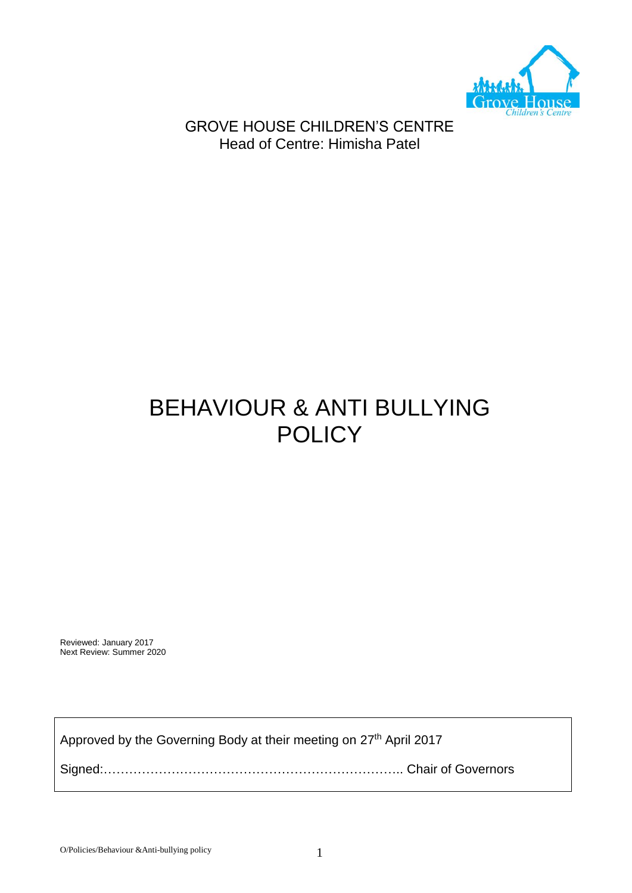

GROVE HOUSE CHILDREN'S CENTRE Head of Centre: Himisha Patel

# BEHAVIOUR & ANTI BULLYING **POLICY**

Reviewed: January 2017 Next Review: Summer 2020

Approved by the Governing Body at their meeting on 27<sup>th</sup> April 2017

Signed:…………………………………………………………….. Chair of Governors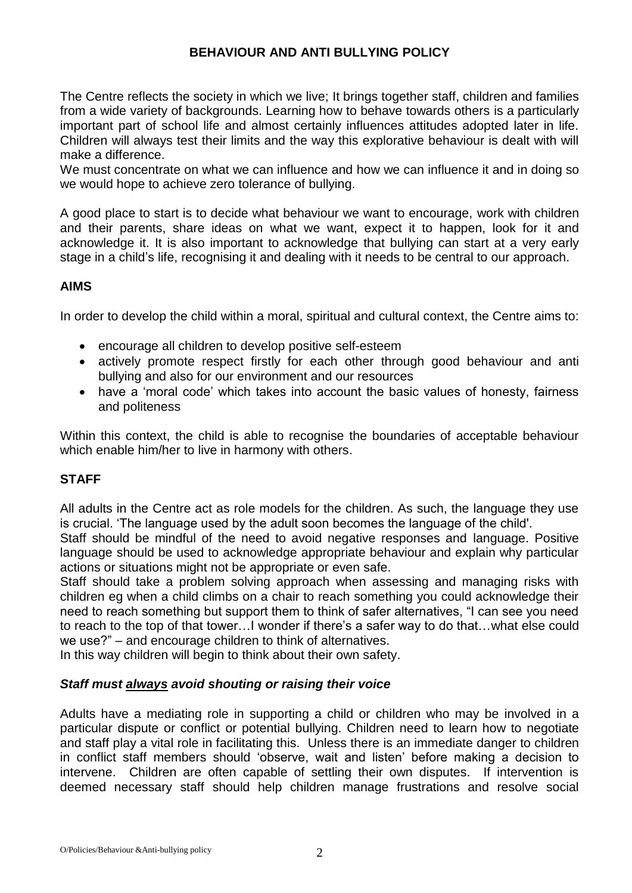## **BEHAVIOUR AND ANTI BULLYING POLICY**

The Centre reflects the society in which we live; It brings together staff, children and families from a wide variety of backgrounds. Learning how to behave towards others is a particularly important part of school life and almost certainly influences attitudes adopted later in life. Children will always test their limits and the way this explorative behaviour is dealt with will make a difference.

We must concentrate on what we can influence and how we can influence it and in doing so we would hope to achieve zero tolerance of bullying.

A good place to start is to decide what behaviour we want to encourage, work with children and their parents, share ideas on what we want, expect it to happen, look for it and acknowledge it. It is also important to acknowledge that bullying can start at a very early stage in a child's life, recognising it and dealing with it needs to be central to our approach.

### **AIMS**

In order to develop the child within a moral, spiritual and cultural context, the Centre aims to:

- encourage all children to develop positive self-esteem
- actively promote respect firstly for each other through good behaviour and anti bullying and also for our environment and our resources
- have a 'moral code' which takes into account the basic values of honesty, fairness and politeness

Within this context, the child is able to recognise the boundaries of acceptable behaviour which enable him/her to live in harmony with others.

## **STAFF**

All adults in the Centre act as role models for the children. As such, the language they use is crucial. 'The language used by the adult soon becomes the language of the child'.

Staff should be mindful of the need to avoid negative responses and language. Positive language should be used to acknowledge appropriate behaviour and explain why particular actions or situations might not be appropriate or even safe.

Staff should take a problem solving approach when assessing and managing risks with children eg when a child climbs on a chair to reach something you could acknowledge their need to reach something but support them to think of safer alternatives, "I can see you need to reach to the top of that tower…I wonder if there's a safer way to do that…what else could we use?" – and encourage children to think of alternatives.

In this way children will begin to think about their own safety.

### *Staff must always avoid shouting or raising their voice*

Adults have a mediating role in supporting a child or children who may be involved in a particular dispute or conflict or potential bullying. Children need to learn how to negotiate and staff play a vital role in facilitating this. Unless there is an immediate danger to children in conflict staff members should 'observe, wait and listen' before making a decision to intervene. Children are often capable of settling their own disputes. If intervention is deemed necessary staff should help children manage frustrations and resolve social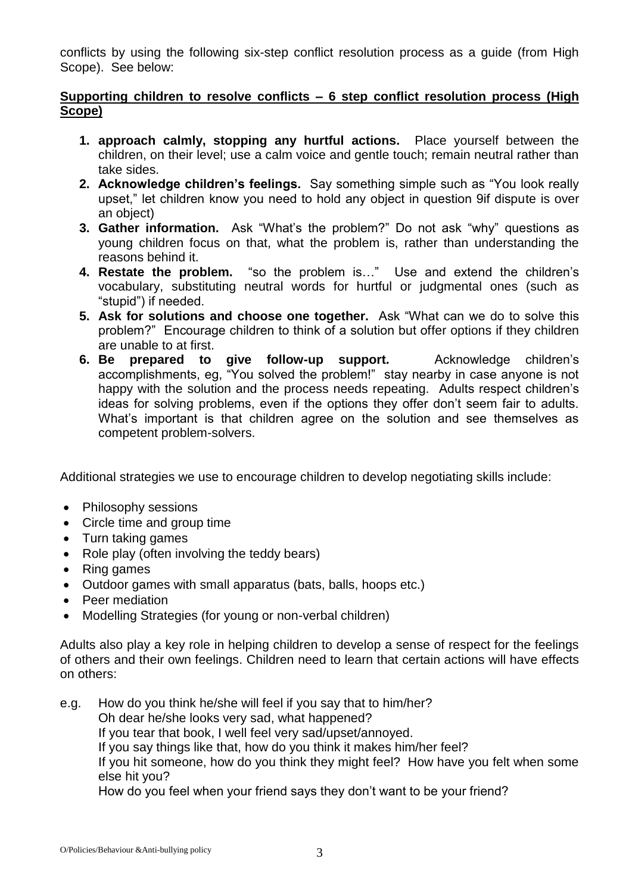conflicts by using the following six-step conflict resolution process as a guide (from High Scope). See below:

## **Supporting children to resolve conflicts – 6 step conflict resolution process (High Scope)**

- **1. approach calmly, stopping any hurtful actions.** Place yourself between the children, on their level; use a calm voice and gentle touch; remain neutral rather than take sides.
- **2. Acknowledge children's feelings.** Say something simple such as "You look really upset," let children know you need to hold any object in question 9if dispute is over an object)
- **3. Gather information.** Ask "What's the problem?" Do not ask "why" questions as young children focus on that, what the problem is, rather than understanding the reasons behind it.
- **4. Restate the problem.** "so the problem is…" Use and extend the children's vocabulary, substituting neutral words for hurtful or judgmental ones (such as "stupid") if needed.
- **5. Ask for solutions and choose one together.** Ask "What can we do to solve this problem?" Encourage children to think of a solution but offer options if they children are unable to at first.
- **6. Be prepared to give follow-up support.** Acknowledge children's accomplishments, eg, "You solved the problem!" stay nearby in case anyone is not happy with the solution and the process needs repeating. Adults respect children's ideas for solving problems, even if the options they offer don't seem fair to adults. What's important is that children agree on the solution and see themselves as competent problem-solvers.

Additional strategies we use to encourage children to develop negotiating skills include:

- Philosophy sessions
- Circle time and group time
- Turn taking games
- Role play (often involving the teddy bears)
- Ring games
- Outdoor games with small apparatus (bats, balls, hoops etc.)
- Peer mediation
- Modelling Strategies (for young or non-verbal children)

Adults also play a key role in helping children to develop a sense of respect for the feelings of others and their own feelings. Children need to learn that certain actions will have effects on others:

e.g. How do you think he/she will feel if you say that to him/her? Oh dear he/she looks very sad, what happened? If you tear that book, I well feel very sad/upset/annoyed. If you say things like that, how do you think it makes him/her feel? If you hit someone, how do you think they might feel? How have you felt when some else hit you? How do you feel when your friend says they don't want to be your friend?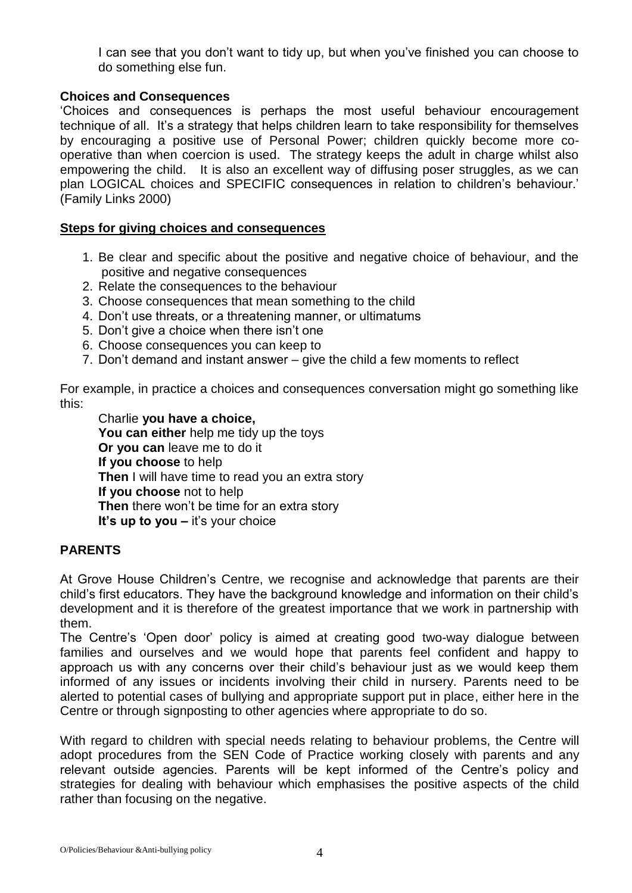I can see that you don't want to tidy up, but when you've finished you can choose to do something else fun.

## **Choices and Consequences**

'Choices and consequences is perhaps the most useful behaviour encouragement technique of all. It's a strategy that helps children learn to take responsibility for themselves by encouraging a positive use of Personal Power; children quickly become more cooperative than when coercion is used. The strategy keeps the adult in charge whilst also empowering the child. It is also an excellent way of diffusing poser struggles, as we can plan LOGICAL choices and SPECIFIC consequences in relation to children's behaviour.' (Family Links 2000)

#### **Steps for giving choices and consequences**

- 1. Be clear and specific about the positive and negative choice of behaviour, and the positive and negative consequences
- 2. Relate the consequences to the behaviour
- 3. Choose consequences that mean something to the child
- 4. Don't use threats, or a threatening manner, or ultimatums
- 5. Don't give a choice when there isn't one
- 6. Choose consequences you can keep to
- 7. Don't demand and instant answer give the child a few moments to reflect

For example, in practice a choices and consequences conversation might go something like this:

Charlie **you have a choice, You can either** help me tidy up the toys **Or you can** leave me to do it **If you choose** to help **Then** I will have time to read you an extra story **If you choose** not to help **Then** there won't be time for an extra story **It's up to you –** it's your choice

### **PARENTS**

At Grove House Children's Centre, we recognise and acknowledge that parents are their child's first educators. They have the background knowledge and information on their child's development and it is therefore of the greatest importance that we work in partnership with them.

The Centre's 'Open door' policy is aimed at creating good two-way dialogue between families and ourselves and we would hope that parents feel confident and happy to approach us with any concerns over their child's behaviour just as we would keep them informed of any issues or incidents involving their child in nursery. Parents need to be alerted to potential cases of bullying and appropriate support put in place, either here in the Centre or through signposting to other agencies where appropriate to do so.

With regard to children with special needs relating to behaviour problems, the Centre will adopt procedures from the SEN Code of Practice working closely with parents and any relevant outside agencies. Parents will be kept informed of the Centre's policy and strategies for dealing with behaviour which emphasises the positive aspects of the child rather than focusing on the negative.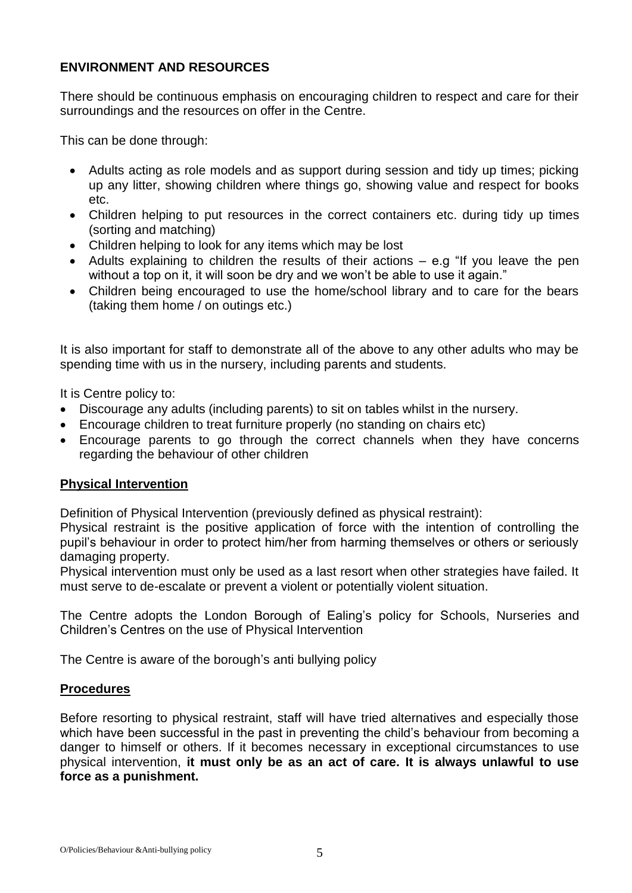## **ENVIRONMENT AND RESOURCES**

There should be continuous emphasis on encouraging children to respect and care for their surroundings and the resources on offer in the Centre.

This can be done through:

- Adults acting as role models and as support during session and tidy up times; picking up any litter, showing children where things go, showing value and respect for books etc.
- Children helping to put resources in the correct containers etc. during tidy up times (sorting and matching)
- Children helping to look for any items which may be lost
- Adults explaining to children the results of their actions  $-$  e.g "If you leave the pen without a top on it, it will soon be dry and we won't be able to use it again."
- Children being encouraged to use the home/school library and to care for the bears (taking them home / on outings etc.)

It is also important for staff to demonstrate all of the above to any other adults who may be spending time with us in the nursery, including parents and students.

It is Centre policy to:

- Discourage any adults (including parents) to sit on tables whilst in the nursery.
- Encourage children to treat furniture properly (no standing on chairs etc)
- Encourage parents to go through the correct channels when they have concerns regarding the behaviour of other children

### **Physical Intervention**

Definition of Physical Intervention (previously defined as physical restraint):

Physical restraint is the positive application of force with the intention of controlling the pupil's behaviour in order to protect him/her from harming themselves or others or seriously damaging property.

Physical intervention must only be used as a last resort when other strategies have failed. It must serve to de-escalate or prevent a violent or potentially violent situation.

The Centre adopts the London Borough of Ealing's policy for Schools, Nurseries and Children's Centres on the use of Physical Intervention

The Centre is aware of the borough's anti bullying policy

#### **Procedures**

Before resorting to physical restraint, staff will have tried alternatives and especially those which have been successful in the past in preventing the child's behaviour from becoming a danger to himself or others. If it becomes necessary in exceptional circumstances to use physical intervention, **it must only be as an act of care. It is always unlawful to use force as a punishment.**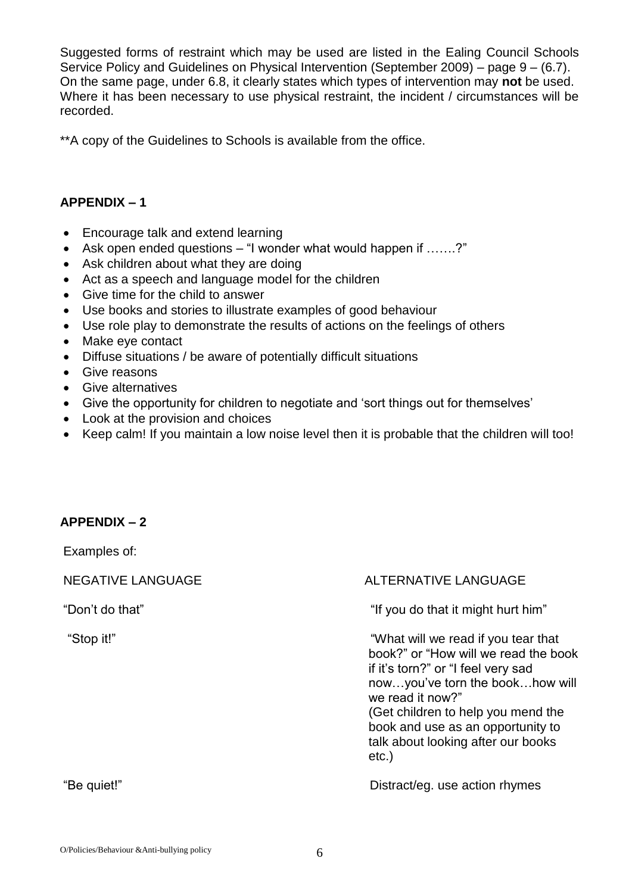Suggested forms of restraint which may be used are listed in the Ealing Council Schools Service Policy and Guidelines on Physical Intervention (September 2009) – page 9 – (6.7). On the same page, under 6.8, it clearly states which types of intervention may **not** be used. Where it has been necessary to use physical restraint, the incident / circumstances will be recorded.

\*\*A copy of the Guidelines to Schools is available from the office.

### **APPENDIX – 1**

- Encourage talk and extend learning
- Ask open ended questions "I wonder what would happen if …….?"
- Ask children about what they are doing
- Act as a speech and language model for the children
- Give time for the child to answer
- Use books and stories to illustrate examples of good behaviour
- Use role play to demonstrate the results of actions on the feelings of others
- Make eye contact
- Diffuse situations / be aware of potentially difficult situations
- Give reasons
- Give alternatives
- Give the opportunity for children to negotiate and 'sort things out for themselves'
- Look at the provision and choices
- Keep calm! If you maintain a low noise level then it is probable that the children will too!

### **APPENDIX – 2**

Examples of:

### NEGATIVE LANGUAGE ALTERNATIVE LANGUAGE

"Don't do that" "If you do that it might hurt him"

"Stop it!" "What will we read if you tear that book?" or "How will we read the book if it's torn?" or "I feel very sad now…you've torn the book…how will we read it now?" (Get children to help you mend the book and use as an opportunity to talk about looking after our books etc.)

"Be quiet!" Distract/eg. use action rhymes